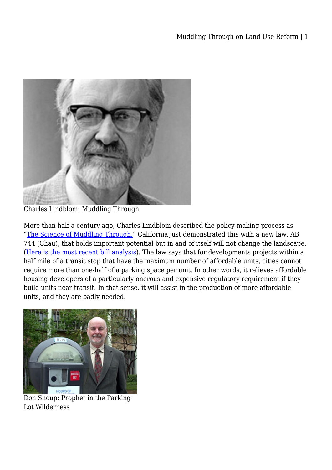

Charles Lindblom: Muddling Through

More than half a century ago, Charles Lindblom described the policy-making process as ["The Science of Muddling Through.](http://urban.hunter.cuny.edu/~schram/lindblom1959.pdf)" California just demonstrated this with a new law, AB 744 (Chau), that holds important potential but in and of itself will not change the landscape. ([Here is the most recent bill analysis](http://leginfo.ca.gov/pub/15-16/bill/asm/ab_0701-0750/ab_744_cfa_20150831_195949_asm_floor.html)). The law says that for developments projects within a half mile of a transit stop that have the maximum number of affordable units, cities cannot require more than one-half of a parking space per unit. In other words, it relieves affordable housing developers of a particularly onerous and expensive regulatory requirement if they build units near transit. In that sense, it will assist in the production of more affordable units, and they are badly needed.



Don Shoup: Prophet in the Parking Lot Wilderness